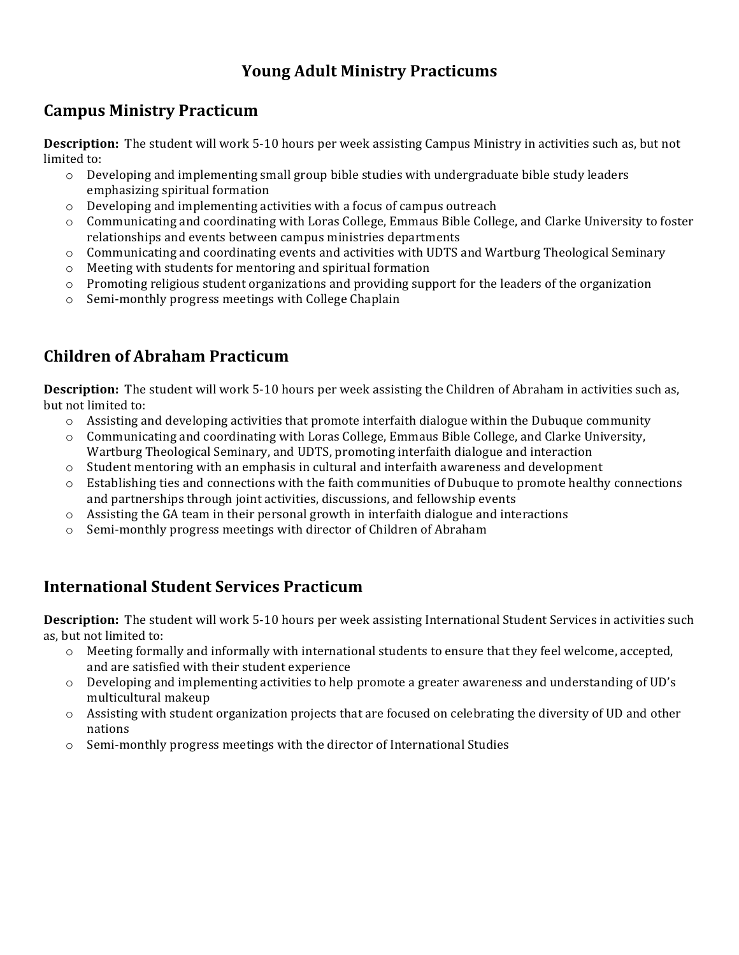# **Young Adult Ministry Practicums**

## **Campus Ministry Practicum**

**Description:** The student will work 5-10 hours per week assisting Campus Ministry in activities such as, but not limited to:

- $\circ$  Developing and implementing small group bible studies with undergraduate bible study leaders emphasizing spiritual formation
- $\circ$  Developing and implementing activities with a focus of campus outreach
- $\circ$  Communicating and coordinating with Loras College, Emmaus Bible College, and Clarke University to foster relationships and events between campus ministries departments
- o Communicating and coordinating events and activities with UDTS and Wartburg Theological Seminary
- $\circ$  Meeting with students for mentoring and spiritual formation
- $\circ$  Promoting religious student organizations and providing support for the leaders of the organization
- $\circ$  Semi-monthly progress meetings with College Chaplain

# **Children of Abraham Practicum**

**Description:** The student will work 5-10 hours per week assisting the Children of Abraham in activities such as, but not limited to:

- $\circ$  Assisting and developing activities that promote interfaith dialogue within the Dubuque community
- $\circ$  Communicating and coordinating with Loras College, Emmaus Bible College, and Clarke University, Wartburg Theological Seminary, and UDTS, promoting interfaith dialogue and interaction
- $\circ$  Student mentoring with an emphasis in cultural and interfaith awareness and development
- $\circ$  Establishing ties and connections with the faith communities of Dubuque to promote healthy connections and partnerships through joint activities, discussions, and fellowship events
- $\circ$  Assisting the GA team in their personal growth in interfaith dialogue and interactions
- $\circ$  Semi-monthly progress meetings with director of Children of Abraham

### **International Student Services Practicum**

**Description:** The student will work 5-10 hours per week assisting International Student Services in activities such as, but not limited to:

- $\circ$  Meeting formally and informally with international students to ensure that they feel welcome, accepted, and are satisfied with their student experience
- $\circ$  Developing and implementing activities to help promote a greater awareness and understanding of UD's multicultural makeup
- $\circ$  Assisting with student organization projects that are focused on celebrating the diversity of UD and other nations
- $\circ$  Semi-monthly progress meetings with the director of International Studies